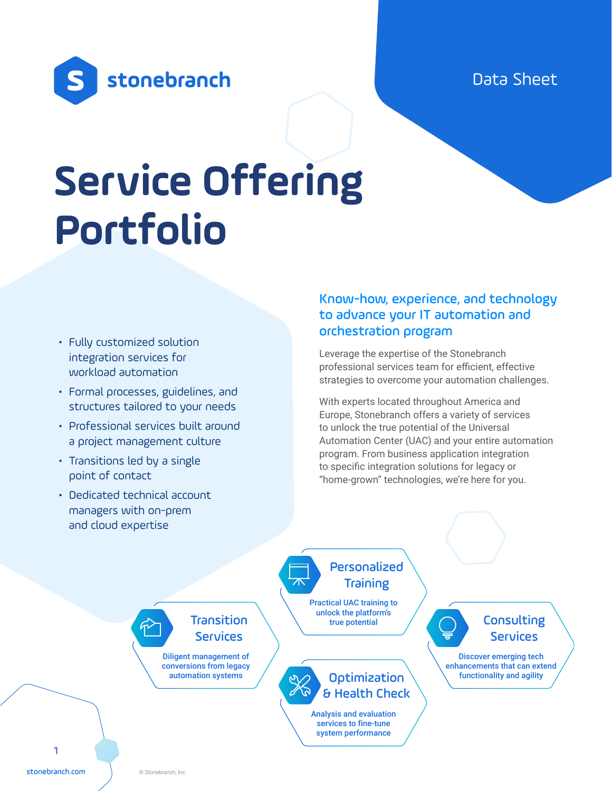Data Sheet



# **Service Offering Portfolio**

- Fully customized solution integration services for workload automation
- Formal processes, guidelines, and structures tailored to your needs
- Professional services built around a project management culture
- Transitions led by a single point of contact
- Dedicated technical account managers with on-prem and cloud expertise

## Know-how, experience, and technology to advance your IT automation and orchestration program

Leverage the expertise of the Stonebranch professional services team for efficient, effective strategies to overcome your automation challenges.

With experts located throughout America and Europe, Stonebranch offers a variety of services to unlock the true potential of the Universal Automation Center (UAC) and your entire automation program. From business application integration to specific integration solutions for legacy or "home-grown" technologies, we're here for you.

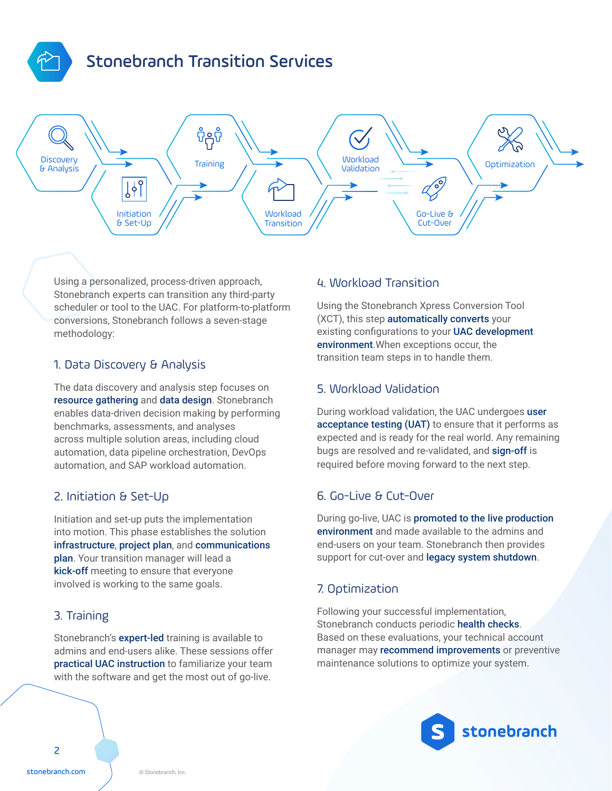

# Stonebranch Transition Services



Using a personalized, process-driven approach, Stonebranch experts can transition any third-party scheduler or tool to the UAC. For platform-to-platform conversions, Stonebranch follows a seven-stage methodology:

#### 1. Data Discovery & Analysis

The data discovery and analysis step focuses on resource gathering and data design. Stonebranch enables data-driven decision making by performing benchmarks, assessments, and analyses across multiple solution areas, including cloud automation, data pipeline orchestration, DevOps automation, and SAP workload automation.

#### 2. Initiation & Set-Up

Initiation and set-up puts the implementation into motion. This phase establishes the solution infrastructure, project plan, and communications plan. Your transition manager will lead a kick-off meeting to ensure that everyone involved is working to the same goals.

#### 3. Training

Stonebranch's expert-led training is available to admins and end-users alike. These sessions offer practical UAC instruction to familiarize your team with the software and get the most out of go-live.

#### 4. Workload Transition

Using the Stonebranch Xpress Conversion Tool (XCT), this step automatically converts your existing configurations to your UAC development environment.When exceptions occur, the transition team steps in to handle them.

#### 5. Workload Validation

During workload validation, the UAC undergoes user acceptance testing (UAT) to ensure that it performs as expected and is ready for the real world. Any remaining bugs are resolved and re-validated, and sign-off is required before moving forward to the next step.

#### 6. Go-Live & Cut-Over

During go-live, UAC is promoted to the live production environment and made available to the admins and end-users on your team. Stonebranch then provides support for cut-over and legacy system shutdown.

#### 7. Optimization

Following your successful implementation, Stonebranch conducts periodic health checks. Based on these evaluations, your technical account manager may recommend improvements or preventive maintenance solutions to optimize your system.